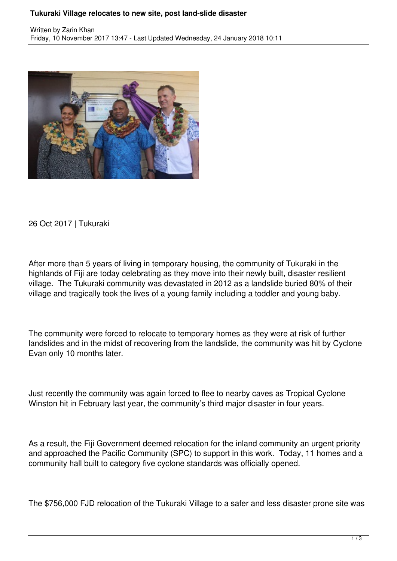## **Tukuraki Village relocates to new site, post land-slide disaster**



26 Oct 2017 | Tukuraki

After more than 5 years of living in temporary housing, the community of Tukuraki in the highlands of Fiji are today celebrating as they move into their newly built, disaster resilient village. The Tukuraki community was devastated in 2012 as a landslide buried 80% of their village and tragically took the lives of a young family including a toddler and young baby.

The community were forced to relocate to temporary homes as they were at risk of further landslides and in the midst of recovering from the landslide, the community was hit by Cyclone Evan only 10 months later.

Just recently the community was again forced to flee to nearby caves as Tropical Cyclone Winston hit in February last year, the community's third major disaster in four years.

As a result, the Fiji Government deemed relocation for the inland community an urgent priority and approached the Pacific Community (SPC) to support in this work. Today, 11 homes and a community hall built to category five cyclone standards was officially opened.

The \$756,000 FJD relocation of the Tukuraki Village to a safer and less disaster prone site was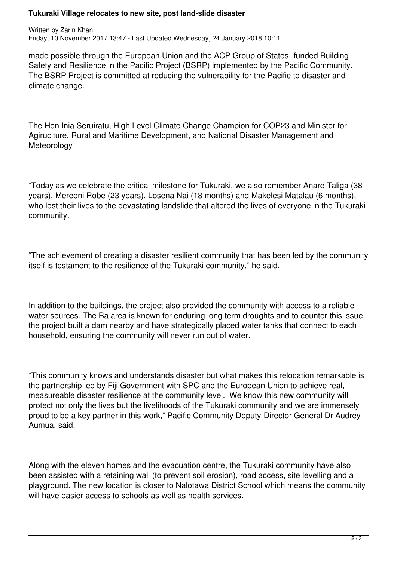## **Tukuraki Village relocates to new site, post land-slide disaster**

Written by Zarin Khan Friday, 10 November 2017 13:47 - Last Updated Wednesday, 24 January 2018 10:11

made possible through the European Union and the ACP Group of States -funded Building Safety and Resilience in the Pacific Project (BSRP) implemented by the Pacific Community. The BSRP Project is committed at reducing the vulnerability for the Pacific to disaster and climate change.

The Hon Inia Seruiratu, High Level Climate Change Champion for COP23 and Minister for Agiruclture, Rural and Maritime Development, and National Disaster Management and **Meteorology** 

"Today as we celebrate the critical milestone for Tukuraki, we also remember Anare Taliga (38 years), Mereoni Robe (23 years), Losena Nai (18 months) and Makelesi Matalau (6 months), who lost their lives to the devastating landslide that altered the lives of everyone in the Tukuraki community.

"The achievement of creating a disaster resilient community that has been led by the community itself is testament to the resilience of the Tukuraki community," he said.

In addition to the buildings, the project also provided the community with access to a reliable water sources. The Ba area is known for enduring long term droughts and to counter this issue, the project built a dam nearby and have strategically placed water tanks that connect to each household, ensuring the community will never run out of water.

"This community knows and understands disaster but what makes this relocation remarkable is the partnership led by Fiji Government with SPC and the European Union to achieve real, measureable disaster resilience at the community level. We know this new community will protect not only the lives but the livelihoods of the Tukuraki community and we are immensely proud to be a key partner in this work," Pacific Community Deputy-Director General Dr Audrey Aumua, said.

Along with the eleven homes and the evacuation centre, the Tukuraki community have also been assisted with a retaining wall (to prevent soil erosion), road access, site levelling and a playground. The new location is closer to Nalotawa District School which means the community will have easier access to schools as well as health services.